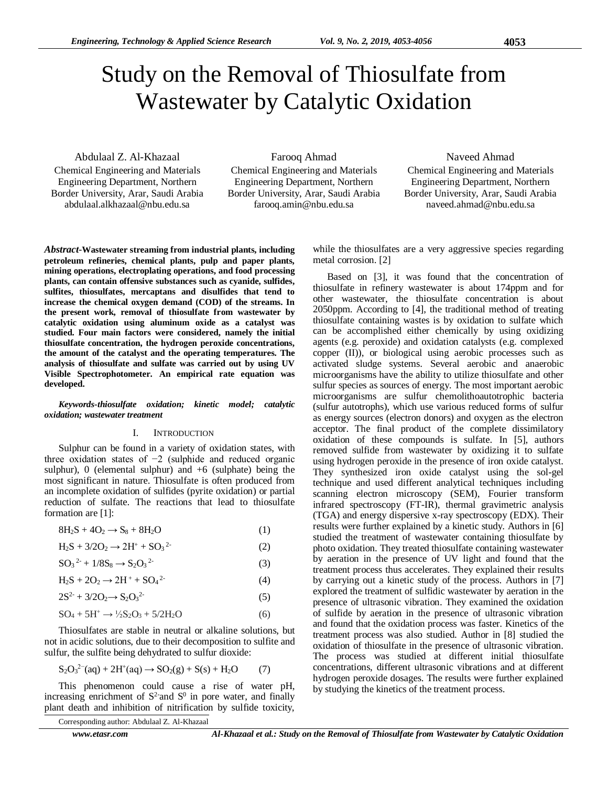# Study on the Removal of Thiosulfate from Wastewater by Catalytic Oxidation

Abdulaal Z. Al-Khazaal

Chemical Engineering and Materials Engineering Department, Northern Border University, Arar, Saudi Arabia abdulaal.alkhazaal@nbu.edu.sa

Farooq Ahmad

Chemical Engineering and Materials Engineering Department, Northern Border University, Arar, Saudi Arabia farooq.amin@nbu.edu.sa

# Naveed Ahmad

Chemical Engineering and Materials Engineering Department, Northern Border University, Arar, Saudi Arabia naveed.ahmad@nbu.edu.sa

*Abstract*-**Wastewater streaming from industrial plants, including petroleum refineries, chemical plants, pulp and paper plants, mining operations, electroplating operations, and food processing plants, can contain offensive substances such as cyanide, sulfides, sulfites, thiosulfates, mercaptans and disulfides that tend to increase the chemical oxygen demand (COD) of the streams. In the present work, removal of thiosulfate from wastewater by catalytic oxidation using aluminum oxide as a catalyst was studied. Four main factors were considered, namely the initial thiosulfate concentration, the hydrogen peroxide concentrations, the amount of the catalyst and the operating temperatures. The analysis of thiosulfate and sulfate was carried out by using UV Visible Spectrophotometer. An empirical rate equation was developed.**

*Keywords-thiosulfate oxidation; kinetic model; catalytic oxidation; wastewater treatment*

#### I. INTRODUCTION

Sulphur can be found in a variety of oxidation states, with three oxidation states of −2 (sulphide and reduced organic sulphur), 0 (elemental sulphur) and  $+6$  (sulphate) being the most significant in nature. Thiosulfate is often produced from an incomplete oxidation of sulfides (pyrite oxidation) or partial reduction of sulfate. The reactions that lead to thiosulfate formation are [1]:

$$
8H_2S + 4O_2 \rightarrow S_8 + 8H_2O \tag{1}
$$

$$
H_2S + 3/2O_2 \to 2H^+ + SO_3{}^{2-} \tag{2}
$$

$$
SO_3^{2-} + 1/8S_8 \to S_2O_3^{2-} \tag{3}
$$

$$
H_2S + 2O_2 \to 2H^+ + SO_4{}^{2-} \tag{4}
$$

$$
2S2 + 3/2O2 \rightarrow S2O32
$$
 (5)

$$
SO_4 + 5H^+ \rightarrow \frac{1}{2}S_2O_3 + 5/2H_2O \tag{6}
$$

Thiosulfates are stable in neutral or [alkaline](http://en.wikipedia.org/wiki/Alkali) solutions, but not in acidic solutions, due to their decomposition t[o sulfite](http://en.wikipedia.org/wiki/Sulfite) and [sulfur,](http://en.wikipedia.org/wiki/Sulfur) the sulfite being dehydrated to [sulfur dioxide:](http://en.wikipedia.org/wiki/Sulfur_dioxide)

$$
S_2O_3^{2-}(aq) + 2H^+(aq) \to SO_2(g) + S(s) + H_2O \tag{7}
$$

This phenomenon could cause a rise of water pH, increasing enrichment of  $S^2$  and  $S^0$  in pore water, and finally plant death and inhibition of nitrification by sulfide toxicity,

Corresponding author: Abdulaal Z. Al-Khazaal

metal corrosion. [2]

while the thiosulfates are a very aggressive species regarding

Based on [3], it was found that the concentration of thiosulfate in refinery wastewater is about 174ppm and for other wastewater, the thiosulfate concentration is about 2050ppm. According to [4], the traditional method of treating thiosulfate containing wastes is by oxidation to sulfate which can be accomplished either chemically by using oxidizing agents (e.g. peroxide) and oxidation catalysts (e.g. complexed copper (II)), or biological using aerobic processes such as activated sludge systems. Several aerobic and anaerobic microorganisms have the ability to utilize thiosulfate and other sulfur species as sources of energy. The most important aerobic microorganisms are sulfur chemolithoautotrophic bacteria (sulfur autotrophs), which use various reduced forms of sulfur as energy sources (electron donors) and oxygen as the electron acceptor. The final product of the complete dissimilatory oxidation of these compounds is sulfate. In [5], authors removed sulfide from wastewater by oxidizing it to sulfate using hydrogen peroxide in the presence of iron oxide catalyst. They synthesized iron oxide catalyst using the sol-gel technique and used different analytical techniques including scanning electron microscopy (SEM), Fourier transform infrared spectroscopy (FT-IR), thermal gravimetric analysis (TGA) and energy dispersive x-ray spectroscopy (EDX). Their results were further explained by a kinetic study. Authors in [6] studied the treatment of wastewater containing thiosulfate by photo oxidation. They treated thiosulfate containing wastewater by aeration in the presence of UV light and found that the treatment process thus accelerates. They explained their results by carrying out a kinetic study of the process. Authors in [7] explored the treatment of sulfidic wastewater by aeration in the presence of ultrasonic vibration. They examined the oxidation of sulfide by aeration in the presence of ultrasonic vibration and found that the oxidation process was faster. Kinetics of the treatment process was also studied. Author in [8] studied the oxidation of thiosulfate in the presence of ultrasonic vibration. The process was studied at different initial thiosulfate concentrations, different ultrasonic vibrations and at different hydrogen peroxide dosages. The results were further explained by studying the kinetics of the treatment process.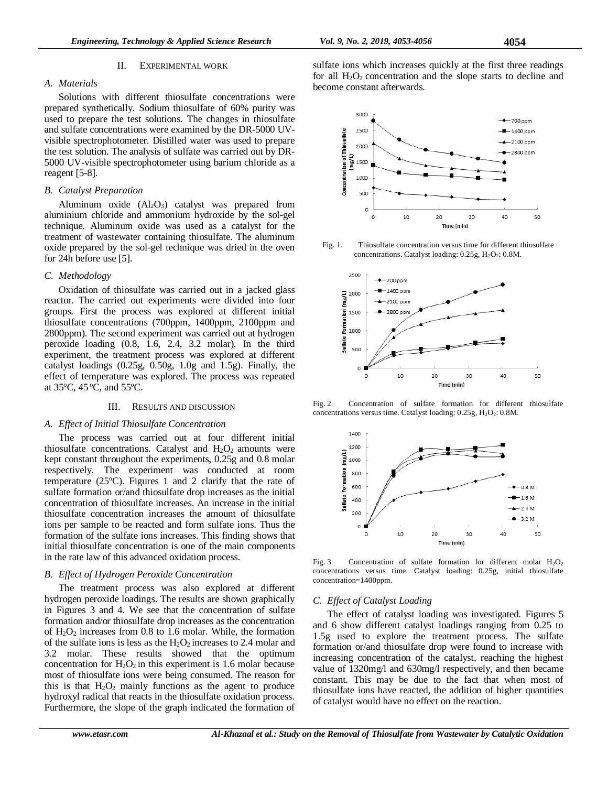# *A. Materials*

Solutions with different thiosulfate concentrations were prepared synthetically. Sodium thiosulfate of 60% purity was used to prepare the test solutions. The changes in thiosulfate and sulfate concentrations were examined by the DR-5000 UVvisible spectrophotometer. Distilled water was used to prepare the test solution. The analysis of sulfate was carried out by DR-5000 UV-visible spectrophotometer using barium chloride as a reagent [5-8].

# *B. Catalyst Preparation*

Aluminum oxide  $(A_2O_3)$  catalyst was prepared from aluminium chloride and ammonium hydroxide by the sol-gel technique. Aluminum oxide was used as a catalyst for the treatment of wastewater containing thiosulfate. The aluminum oxide prepared by the sol-gel technique was dried in the oven for 24h before use [5].

# *C. Methodology*

Oxidation of thiosulfate was carried out in a jacked glass reactor. The carried out experiments were divided into four groups. First the process was explored at different initial thiosulfate concentrations (700ppm, 1400ppm, 2100ppm and 2800ppm). The second experiment was carried out at hydrogen peroxide loading (0.8, 1.6, 2.4, 3.2 molar). In the third experiment, the treatment process was explored at different catalyst loadings  $(0.25g, 0.50g, 1.0g$  and  $1.5g$ ). Finally, the effect of temperature was explored. The process was repeated at  $35^{\circ}$ C,  $45^{\circ}$ C, and  $55^{\circ}$ C.

# III. RESULTS AND DISCUSSION

### *A. Effect of Initial Thiosulfate Concentration*

The process was carried out at four different initial thiosulfate concentrations. Catalyst and  $H_2O_2$  amounts were kept constant throughout the experiments, 0.25g and 0.8 molar respectively. The experiment was conducted at room temperature (25 $^{\circ}$ C). Figures 1 and 2 clarify that the rate of sulfate formation or/and thiosulfate drop increases as the initial concentration of thiosulfate increases. An increase in the initial thiosulfate concentration increases the amount of thiosulfate ions per sample to be reacted and form sulfate ions. Thus the formation of the sulfate ions increases. This finding shows that initial thiosulfate concentration is one of the main components in the rate law of this advanced oxidation process.

# *B. Effect of Hydrogen Peroxide Concentration*

The treatment process was also explored at different hydrogen peroxide loadings. The results are shown graphically in Figures 3 and 4. We see that the concentration of sulfate formation and/or thiosulfate drop increases as the concentration of  $H_2O_2$  increases from 0.8 to 1.6 molar. While, the formation of the sulfate ions is less as the  $H_2O_2$  increases to 2.4 molar and 3.2 molar. These results showed that the optimum concentration for  $H_2O_2$  in this experiment is 1.6 molar because most of thiosulfate ions were being consumed. The reason for this is that  $H_2O_2$  mainly functions as the agent to produce hydroxyl radical that reacts in the thiosulfate oxidation process. Furthermore, the slope of the graph indicated the formation of

sulfate ions which increases quickly at the first three readings for all  $H_2O_2$  concentration and the slope starts to decline and become constant afterwards.



Fig. 1. Thiosulfate concentration versus time for different thiosulfate concentrations. Catalyst loading:  $0.25g$ ,  $H_2O_2$ :  $0.8M$ .



Fig. 2. Concentration of sulfate formation for different thiosulfate concentrations versus time. Catalyst loading: 0.25g, H<sub>2</sub>O<sub>2</sub>: 0.8M.



Fig. 3. Concentration of sulfate formation for different molar  $H_2O_2$ concentrations versus time. Catalyst loading: 0.25g, initial thiosulfate concentration=1400ppm.

# *C. Effect of Catalyst Loading*

The effect of catalyst loading was investigated. Figures 5 and 6 show different catalyst loadings ranging from 0.25 to 1.5g used to explore the treatment process. The sulfate formation or/and thiosulfate drop were found to increase with increasing concentration of the catalyst, reaching the highest value of 1320mg/l and 630mg/l respectively, and then became constant. This may be due to the fact that when most of thiosulfate ions have reacted, the addition of higher quantities of catalyst would have no effect on the reaction.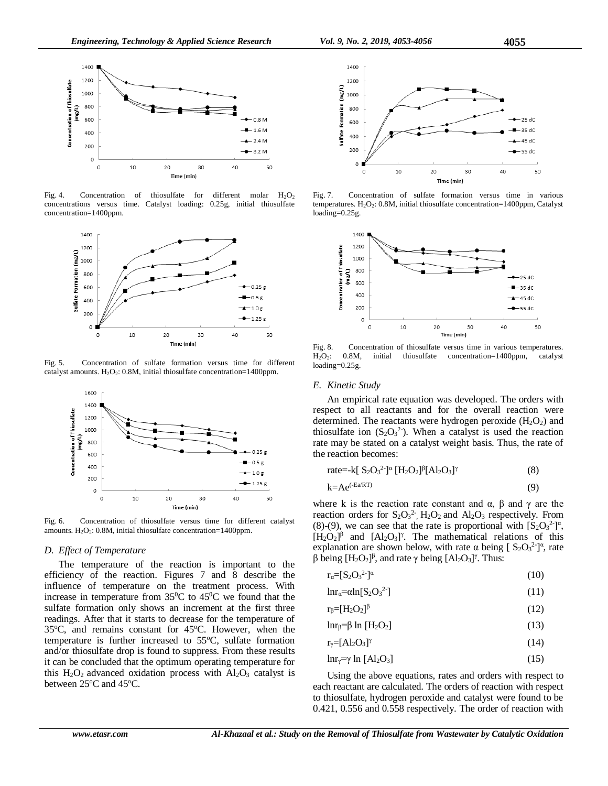

Fig. 4. Concentration of thiosulfate for different molar  $H_2O_2$ concentrations versus time. Catalyst loading: 0.25g, initial thiosulfate concentration=1400ppm.



Fig. 5. Concentration of sulfate formation versus time for different catalyst amounts.  $H_2O_2$ : 0.8M, initial thiosulfate concentration=1400ppm.



Fig. 6. Concentration of thiosulfate versus time for different catalyst amounts.  $H<sub>2</sub>O<sub>2</sub>$ : 0.8M, initial thiosulfate concentration=1400ppm.

#### *D. Effect of Temperature*

The temperature of the reaction is important to the efficiency of the reaction. Figures 7 and 8 describe the influence of temperature on the treatment process. With increase in temperature from  $35^{\circ}$ C to  $45^{\circ}$ C we found that the sulfate formation only shows an increment at the first three readings. After that it starts to decrease for the temperature of 35°C, and remains constant for 45°C. However, when the temperature is further increased to  $55^{\circ}$ C, sulfate formation and/or thiosulfate drop is found to suppress. From these results it can be concluded that the optimum operating temperature for this  $H_2O_2$  advanced oxidation process with  $Al_2O_3$  catalyst is between  $25^{\circ}$ C and  $45^{\circ}$ C.



Fig. 7. Concentration of sulfate formation versus time in various temperatures.  $H_2O_2$ : 0.8M, initial thiosulfate concentration=1400ppm, Catalyst loading=0.25g.



Fig. 8. Concentration of thiosulfate versus time in various temperatures. H<sub>2</sub>O<sub>2</sub>: 0.8M, initial thiosulfate concentration=1400ppm, catalyst loading=0.25g.

#### *E. Kinetic Study*

An empirical rate equation was developed. The orders with respect to all reactants and for the overall reaction were determined. The reactants were hydrogen peroxide  $(H_2O_2)$  and thiosulfate ion  $(S_2O_3^2)$ . When a catalyst is used the reaction rate may be stated on a catalyst weight basis. Thus, the rate of the reaction becomes:

rate=
$$
k[ S_2O_3^{2}]^{\alpha} [H_2O_2]^{\beta} [Al_2O_3]^{\gamma}
$$
 (8)

$$
k = Ae^{(-Ea/RT)}
$$
 (9)

where k is the reaction rate constant and  $\alpha$ ,  $\beta$  and  $\gamma$  are the reaction orders for  $S_2O_3^2$ ,  $H_2O_2$  and  $Al_2O_3$  respectively. From (8)-(9), we can see that the rate is proportional with  $[S_2O_3^2]^\alpha$ ,  $[H_2O_2]^{\beta}$  and  $[A_2O_3]^{\gamma}$ . The mathematical relations of this explanation are shown below, with rate  $\alpha$  being  $\left[ S_2O_3^{2-} \right]^\alpha$ , rate β being  $[H_2O_2]$ <sup>β</sup>, and rate γ being  $[A_2O_3]$ <sup>γ</sup>. Thus:

$$
r_{\alpha}=[S_2O_3^{2}]^{\alpha} \tag{10}
$$

$$
lnr_{\alpha} = \alpha ln[S_2O_3^{2}] \tag{11}
$$

$$
r_{\beta} = [H_2 O_2]^{\beta} \tag{12}
$$

$$
lnr_{\beta} = \beta ln [H_2O_2]
$$
 (13)

$$
r_{\gamma} = [Al_2O_3]^{\gamma} \tag{14}
$$

$$
\ln r_{\gamma} = \gamma \ln \left[ \text{Al}_2 \text{O}_3 \right] \tag{15}
$$

Using the above equations, rates and orders with respect to each reactant are calculated. The orders of reaction with respect to thiosulfate, hydrogen peroxide and catalyst were found to be 0.421, 0.556 and 0.558 respectively. The order of reaction with